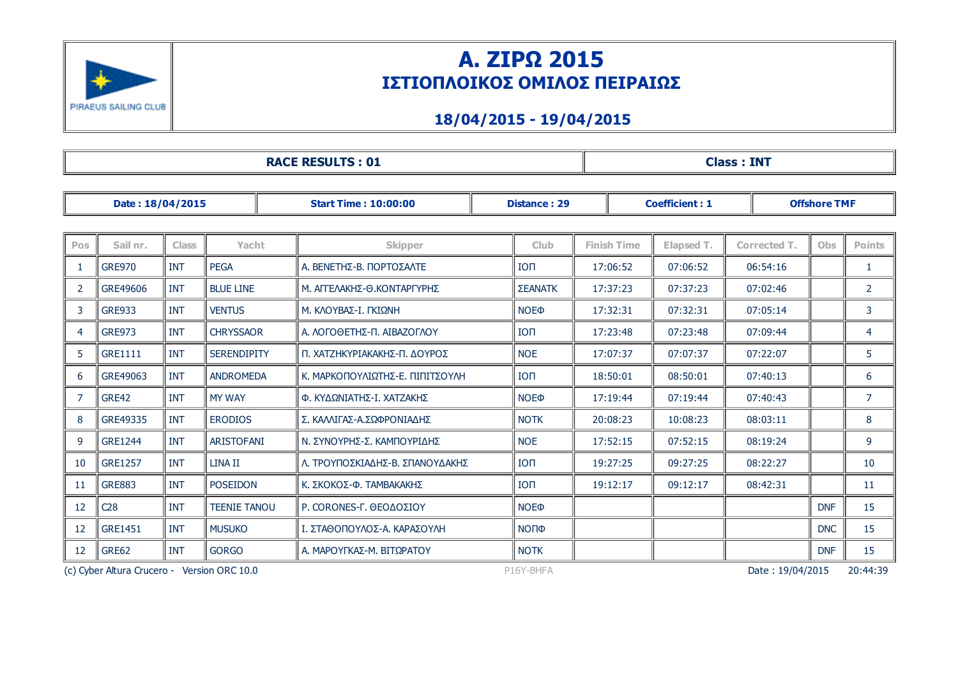

# Α. ΖΙΡΩ 2015 ΙΣΤΙΟΠΛΟΙΚΟΣ ΟΜΙΛΟΣ ΠΕΙΡΑΙΩΣ

### 18/04/2015 19/04/2015

| <b>RACE RESULTS: 01</b>                     |                |              |                     |                                 |                        |                    | <b>Class: INT</b>     |                  |                     |                |  |  |
|---------------------------------------------|----------------|--------------|---------------------|---------------------------------|------------------------|--------------------|-----------------------|------------------|---------------------|----------------|--|--|
| Date: 18/04/2015                            |                |              |                     | <b>Start Time: 10:00:00</b>     | <b>Distance: 29</b>    |                    | <b>Coefficient: 1</b> |                  | <b>Offshore TMF</b> |                |  |  |
| Pos                                         | Sail nr.       | <b>Class</b> | Yacht               | <b>Skipper</b>                  | <b>Club</b>            | <b>Finish Time</b> | Elapsed T.            | Corrected T.     | <b>Obs</b>          | <b>Points</b>  |  |  |
| -1                                          | <b>GRE970</b>  | <b>INT</b>   | <b>PEGA</b>         | Α. ΒΕΝΕΤΗΣ-Β. ΠΟΡΤΟΣΑΛΤΕ        | <b>ION</b>             | 17:06:52           | 07:06:52              | 06:54:16         |                     | 1              |  |  |
| $\overline{2}$                              | GRE49606       | <b>INT</b>   | <b>BLUE LINE</b>    | Μ. ΑΓΓΕΛΑΚΗΣ-Θ.ΚΟΝΤΑΡΓΥΡΗΣ      | <b>ΣΕΑΝΑΤΚ</b>         | 17:37:23           | 07:37:23              | 07:02:46         |                     | $\overline{2}$ |  |  |
| 3                                           | <b>GRE933</b>  | <b>INT</b>   | <b>VENTUS</b>       | Μ. ΚΛΟΥΒΑΣ-Ι. ΓΚΙΩΝΗ            | <b>NOE</b> <sup></sup> | 17:32:31           | 07:32:31              | 07:05:14         |                     | 3              |  |  |
| 4                                           | <b>GRE973</b>  | <b>INT</b>   | <b>CHRYSSAOR</b>    | Α. ΛΟΓΟΘΕΤΗΣ-Π. ΑΙΒΑΖΟΓΛΟΥ      | <b>ION</b>             | 17:23:48           | 07:23:48              | 07:09:44         |                     | 4              |  |  |
| 5                                           | GRE1111        | <b>INT</b>   | <b>SERENDIPITY</b>  | Π. ΧΑΤΖΗΚΥΡΙΑΚΑΚΗΣ-Π. ΔΟΥΡΟΣ    | <b>NOE</b>             | 17:07:37           | 07:07:37              | 07:22:07         |                     | 5              |  |  |
| 6                                           | GRE49063       | <b>INT</b>   | <b>ANDROMEDA</b>    | Κ. ΜΑΡΚΟΠΟΥΛΙΩΤΗΣ-Ε. ΠΙΠΙΤΣΟΥΛΗ | <b>ION</b>             | 18:50:01           | 08:50:01              | 07:40:13         |                     | 6              |  |  |
| 7                                           | GRE42          | <b>INT</b>   | <b>MY WAY</b>       | Φ. ΚΥΔΩΝΙΑΤΗΣ-Ι. ΧΑΤΖΑΚΗΣ       | <b>NOE</b> <sup></sup> | 17:19:44           | 07:19:44              | 07:40:43         |                     | $\overline{7}$ |  |  |
| 8                                           | GRE49335       | <b>INT</b>   | <b>ERODIOS</b>      | Σ. ΚΑΛΛΙΓΑΣ-Α.ΣΩΦΡΟΝΙΑΔΗΣ       | <b>NOTK</b>            | 20:08:23           | 10:08:23              | 08:03:11         |                     | 8              |  |  |
| 9                                           | <b>GRE1244</b> | <b>INT</b>   | <b>ARISTOFANI</b>   | Ν. ΣΥΝΟΥΡΗΣ-Σ. ΚΑΜΠΟΥΡΙΔΗΣ      | <b>NOE</b>             | 17:52:15           | 07:52:15              | 08:19:24         |                     | 9              |  |  |
| 10                                          | <b>GRE1257</b> | <b>INT</b>   | <b>LINA II</b>      | Λ. ΤΡΟΥΠΟΣΚΙΑΔΗΣ-Β. ΣΠΑΝΟΥΔΑΚΗΣ | <b>ION</b>             | 19:27:25           | 09:27:25              | 08:22:27         |                     | 10             |  |  |
| 11                                          | <b>GRE883</b>  | <b>INT</b>   | <b>POSEIDON</b>     | Κ. ΣΚΟΚΟΣ-Φ. ΤΑΜΒΑΚΑΚΗΣ         | <b>ION</b>             | 19:12:17           | 09:12:17              | 08:42:31         |                     | 11             |  |  |
| 12                                          | C28            | <b>INT</b>   | <b>TEENIE TANOU</b> | P. CORONES-Γ. ΘΕΟΔΟΣΙΟΥ         | <b>NOE</b> <sup></sup> |                    |                       |                  | <b>DNF</b>          | 15             |  |  |
| 12                                          | <b>GRE1451</b> | <b>INT</b>   | <b>MUSUKO</b>       | Ι. ΣΤΑΘΟΠΟΥΛΟΣ-Α. ΚΑΡΑΣΟΥΛΗ     | ΝΟΠΦ                   |                    |                       |                  | <b>DNC</b>          | 15             |  |  |
| 12                                          | GRE62          | <b>INT</b>   | <b>GORGO</b>        | Α. ΜΑΡΟΥΓΚΑΣ-Μ. ΒΙΤΩΡΑΤΟΥ       | <b>NOTK</b>            |                    |                       |                  | <b>DNF</b>          | 15             |  |  |
| (c) Cyber Altura Crucero - Version ORC 10.0 |                |              |                     |                                 | P16Y-BHFA              |                    |                       | Date: 19/04/2015 |                     | 20:44:39       |  |  |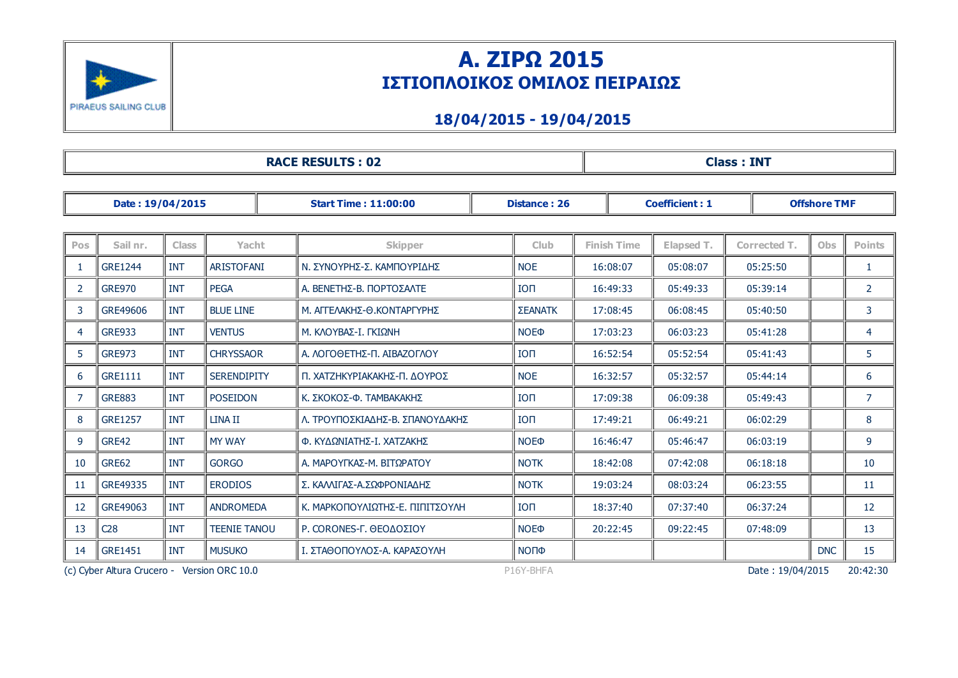

# Α. ΖΙΡΩ 2015 ΙΣΤΙΟΠΛΟΙΚΟΣ ΟΜΙΛΟΣ ΠΕΙΡΑΙΩΣ

### 18/04/2015 19/04/2015

| <b>RACE RESULTS: 02</b>                                  |                |              |                     |                                 |                        | <b>Class: INT</b>                            |            |                     |            |                |  |
|----------------------------------------------------------|----------------|--------------|---------------------|---------------------------------|------------------------|----------------------------------------------|------------|---------------------|------------|----------------|--|
| Date: 19/04/2015<br><b>Start Time: 11:00:00</b>          |                |              |                     |                                 | <b>Distance: 26</b>    | <b>Coefficient: 1</b><br><b>Offshore TMF</b> |            |                     |            |                |  |
|                                                          |                |              |                     |                                 |                        |                                              |            |                     |            |                |  |
| Pos                                                      | Sail nr.       | <b>Class</b> | Yacht               | <b>Skipper</b>                  | <b>Club</b>            | <b>Finish Time</b>                           | Elapsed T. | <b>Corrected T.</b> | <b>Obs</b> | <b>Points</b>  |  |
| -1                                                       | <b>GRE1244</b> | <b>INT</b>   | <b>ARISTOFANI</b>   | Ν. ΣΥΝΟΥΡΗΣ-Σ. ΚΑΜΠΟΥΡΙΔΗΣ      | <b>NOE</b>             | 16:08:07                                     | 05:08:07   | 05:25:50            |            | 1              |  |
| 2                                                        | <b>GRE970</b>  | <b>INT</b>   | <b>PEGA</b>         | Α. ΒΕΝΕΤΗΣ-Β. ΠΟΡΤΟΣΑΛΤΕ        | <b>ION</b>             | 16:49:33                                     | 05:49:33   | 05:39:14            |            | $\overline{2}$ |  |
| 3                                                        | GRE49606       | INT          | <b>BLUE LINE</b>    | Μ. ΑΓΓΕΛΑΚΗΣ-Θ.ΚΟΝΤΑΡΓΥΡΗΣ      | <b>ΣΕΑΝΑΤΚ</b>         | 17:08:45                                     | 06:08:45   | 05:40:50            |            | 3              |  |
| $\overline{4}$                                           | <b>GRE933</b>  | <b>INT</b>   | <b>VENTUS</b>       | Μ. ΚΛΟΥΒΑΣ-Ι. ΓΚΙΩΝΗ            | <b>NOE</b> <sup></sup> | 17:03:23                                     | 06:03:23   | 05:41:28            |            | 4              |  |
| 5                                                        | <b>GRE973</b>  | <b>INT</b>   | <b>CHRYSSAOR</b>    | Α. ΛΟΓΟΘΕΤΗΣ-Π. ΑΙΒΑΖΟΓΛΟΥ      | <b>ION</b>             | 16:52:54                                     | 05:52:54   | 05:41:43            |            | 5              |  |
| 6                                                        | <b>GRE1111</b> | <b>INT</b>   | <b>SERENDIPITY</b>  | Π. ΧΑΤΖΗΚΥΡΙΑΚΑΚΗΣ-Π. ΔΟΥΡΟΣ    | <b>NOE</b>             | 16:32:57                                     | 05:32:57   | 05:44:14            |            | 6              |  |
| 7                                                        | <b>GRE883</b>  | <b>INT</b>   | <b>POSEIDON</b>     | Κ. ΣΚΟΚΟΣ-Φ. ΤΑΜΒΑΚΑΚΗΣ         | <b>ION</b>             | 17:09:38                                     | 06:09:38   | 05:49:43            |            | $\overline{7}$ |  |
| 8                                                        | <b>GRE1257</b> | <b>INT</b>   | <b>LINA II</b>      | Λ. ΤΡΟΥΠΟΣΚΙΑΔΗΣ-Β. ΣΠΑΝΟΥΔΑΚΗΣ | <b>ION</b>             | 17:49:21                                     | 06:49:21   | 06:02:29            |            | 8              |  |
| 9                                                        | GRE42          | <b>INT</b>   | <b>MY WAY</b>       | Φ. ΚΥΔΩΝΙΑΤΗΣ-Ι. ΧΑΤΖΑΚΗΣ       | <b>NOE</b> <sup></sup> | 16:46:47                                     | 05:46:47   | 06:03:19            |            | 9              |  |
| 10                                                       | <b>GRE62</b>   | <b>INT</b>   | <b>GORGO</b>        | Α. ΜΑΡΟΥΓΚΑΣ-Μ. ΒΙΤΩΡΑΤΟΥ       | <b>NOTK</b>            | 18:42:08                                     | 07:42:08   | 06:18:18            |            | 10             |  |
| 11                                                       | GRE49335       | <b>INT</b>   | <b>ERODIOS</b>      | Σ. ΚΑΛΛΙΓΑΣ-Α.ΣΩΦΡΟΝΙΑΔΗΣ       | <b>NOTK</b>            | 19:03:24                                     | 08:03:24   | 06:23:55            |            | 11             |  |
| -12                                                      | GRE49063       | INT          | <b>ANDROMEDA</b>    | Κ. ΜΑΡΚΟΠΟΥΛΙΩΤΗΣ-Ε. ΠΙΠΙΤΣΟΥΛΗ | <b>ION</b>             | 18:37:40                                     | 07:37:40   | 06:37:24            |            | 12             |  |
| 13                                                       | C28            | <b>INT</b>   | <b>TEENIE TANOU</b> | P. CORONES-Γ. ΘΕΟΔΟΣΙΟΥ         | <b>NOE</b> <sup></sup> | 20:22:45                                     | 09:22:45   | 07:48:09            |            | 13             |  |
| 14                                                       | <b>GRE1451</b> | <b>INT</b>   | <b>MUSUKO</b>       | Ι. ΣΤΑΘΟΠΟΥΛΟΣ-Α. ΚΑΡΑΣΟΥΛΗ     | ΝΟΠΦ                   |                                              |            |                     | <b>DNC</b> | 15             |  |
| (c) Cyber Altura Crucero - Version ORC 10.0<br>P16Y-BHFA |                |              |                     |                                 |                        | Date: 19/04/2015                             |            | 20:42:30            |            |                |  |